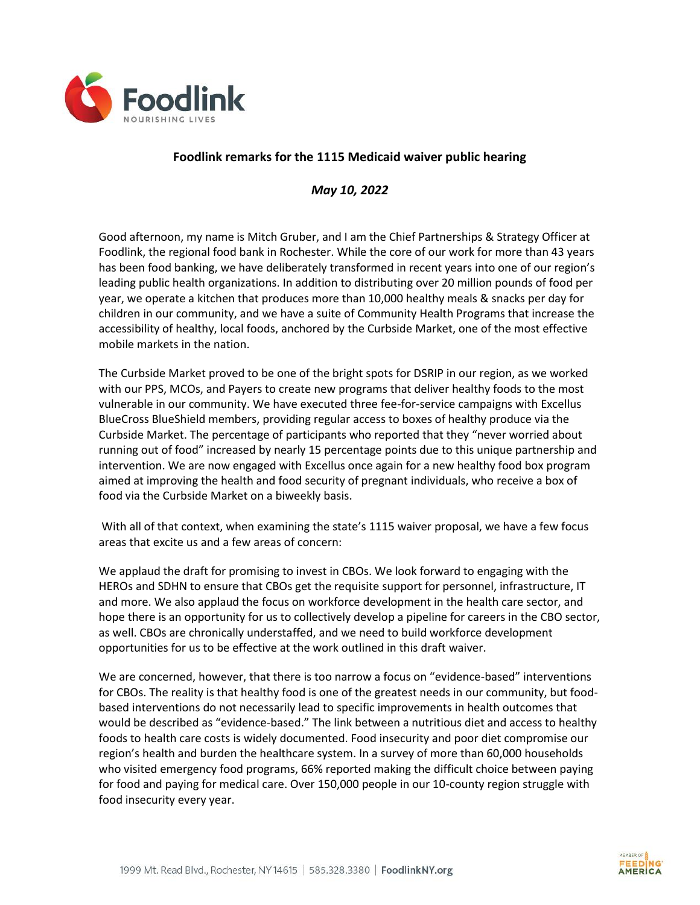

## **Foodlink remarks for the 1115 Medicaid waiver public hearing**

## *May 10, 2022*

Good afternoon, my name is Mitch Gruber, and I am the Chief Partnerships & Strategy Officer at Foodlink, the regional food bank in Rochester. While the core of our work for more than 43 years has been food banking, we have deliberately transformed in recent years into one of our region's leading public health organizations. In addition to distributing over 20 million pounds of food per year, we operate a kitchen that produces more than 10,000 healthy meals & snacks per day for children in our community, and we have a suite of Community Health Programs that increase the accessibility of healthy, local foods, anchored by the Curbside Market, one of the most effective mobile markets in the nation.

The Curbside Market proved to be one of the bright spots for DSRIP in our region, as we worked with our PPS, MCOs, and Payers to create new programs that deliver healthy foods to the most vulnerable in our community. We have executed three fee-for-service campaigns with Excellus BlueCross BlueShield members, providing regular access to boxes of healthy produce via the Curbside Market. The percentage of participants who reported that they "never worried about running out of food" increased by nearly 15 percentage points due to this unique partnership and intervention. We are now engaged with Excellus once again for a new healthy food box program aimed at improving the health and food security of pregnant individuals, who receive a box of food via the Curbside Market on a biweekly basis.

With all of that context, when examining the state's 1115 waiver proposal, we have a few focus areas that excite us and a few areas of concern:

We applaud the draft for promising to invest in CBOs. We look forward to engaging with the HEROs and SDHN to ensure that CBOs get the requisite support for personnel, infrastructure, IT and more. We also applaud the focus on workforce development in the health care sector, and hope there is an opportunity for us to collectively develop a pipeline for careers in the CBO sector, as well. CBOs are chronically understaffed, and we need to build workforce development opportunities for us to be effective at the work outlined in this draft waiver.

We are concerned, however, that there is too narrow a focus on "evidence-based" interventions for CBOs. The reality is that healthy food is one of the greatest needs in our community, but foodbased interventions do not necessarily lead to specific improvements in health outcomes that would be described as "evidence-based." The link between a nutritious diet and access to healthy foods to health care costs is widely documented. Food insecurity and poor diet compromise our region's health and burden the healthcare system. In a survey of more than 60,000 households who visited emergency food programs, 66% reported making the difficult choice between paying for food and paying for medical care. Over 150,000 people in our 10-county region struggle with food insecurity every year.